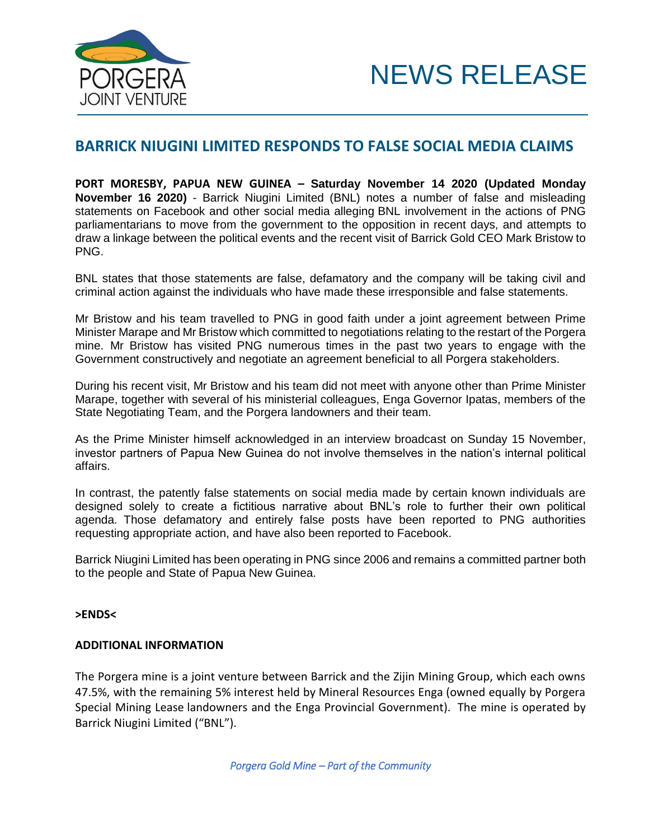



## **BARRICK NIUGINI LIMITED RESPONDS TO FALSE SOCIAL MEDIA CLAIMS**

**PORT MORESBY, PAPUA NEW GUINEA – Saturday November 14 2020 (Updated Monday November 16 2020)** - Barrick Niugini Limited (BNL) notes a number of false and misleading statements on Facebook and other social media alleging BNL involvement in the actions of PNG parliamentarians to move from the government to the opposition in recent days, and attempts to draw a linkage between the political events and the recent visit of Barrick Gold CEO Mark Bristow to PNG.

BNL states that those statements are false, defamatory and the company will be taking civil and criminal action against the individuals who have made these irresponsible and false statements.

Mr Bristow and his team travelled to PNG in good faith under a joint agreement between Prime Minister Marape and Mr Bristow which committed to negotiations relating to the restart of the Porgera mine. Mr Bristow has visited PNG numerous times in the past two years to engage with the Government constructively and negotiate an agreement beneficial to all Porgera stakeholders.

During his recent visit, Mr Bristow and his team did not meet with anyone other than Prime Minister Marape, together with several of his ministerial colleagues, Enga Governor Ipatas, members of the State Negotiating Team, and the Porgera landowners and their team.

As the Prime Minister himself acknowledged in an interview broadcast on Sunday 15 November, investor partners of Papua New Guinea do not involve themselves in the nation's internal political affairs.

In contrast, the patently false statements on social media made by certain known individuals are designed solely to create a fictitious narrative about BNL's role to further their own political agenda. Those defamatory and entirely false posts have been reported to PNG authorities requesting appropriate action, and have also been reported to Facebook.

Barrick Niugini Limited has been operating in PNG since 2006 and remains a committed partner both to the people and State of Papua New Guinea.

## **>ENDS<**

## **ADDITIONAL INFORMATION**

The Porgera mine is a joint venture between Barrick and the Zijin Mining Group, which each owns 47.5%, with the remaining 5% interest held by Mineral Resources Enga (owned equally by Porgera Special Mining Lease landowners and the Enga Provincial Government). The mine is operated by Barrick Niugini Limited ("BNL").